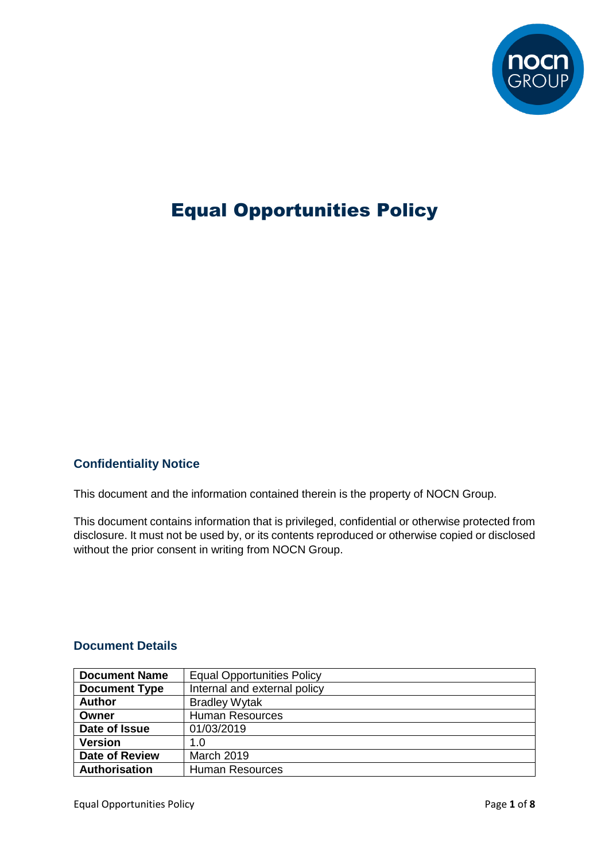

# Equal Opportunities Policy

#### **Confidentiality Notice**

This document and the information contained therein is the property of NOCN Group.

This document contains information that is privileged, confidential or otherwise protected from disclosure. It must not be used by, or its contents reproduced or otherwise copied or disclosed without the prior consent in writing from NOCN Group.

#### **Document Details**

| <b>Document Name</b>                    | <b>Equal Opportunities Policy</b> |  |  |
|-----------------------------------------|-----------------------------------|--|--|
| <b>Document Type</b>                    | Internal and external policy      |  |  |
| <b>Author</b>                           | <b>Bradley Wytak</b>              |  |  |
| Owner                                   | <b>Human Resources</b>            |  |  |
| Date of Issue                           | 01/03/2019                        |  |  |
| <b>Version</b>                          | 1.0                               |  |  |
| <b>Date of Review</b>                   | <b>March 2019</b>                 |  |  |
| Authorisation<br><b>Human Resources</b> |                                   |  |  |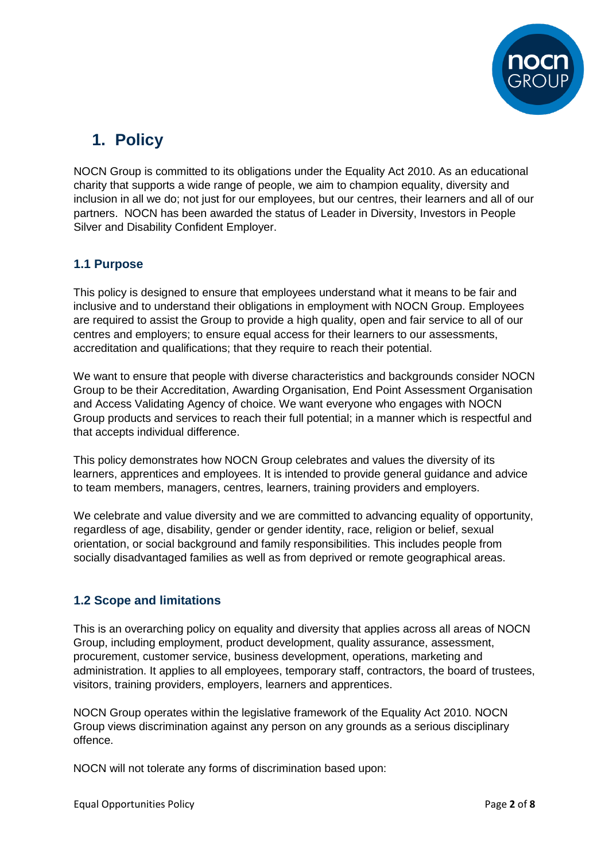

## **1. Policy**

NOCN Group is committed to its obligations under the Equality Act 2010. As an educational charity that supports a wide range of people, we aim to champion equality, diversity and inclusion in all we do; not just for our employees, but our centres, their learners and all of our partners. NOCN has been awarded the status of Leader in Diversity, Investors in People Silver and Disability Confident Employer.

#### **1.1 Purpose**

This policy is designed to ensure that employees understand what it means to be fair and inclusive and to understand their obligations in employment with NOCN Group. Employees are required to assist the Group to provide a high quality, open and fair service to all of our centres and employers; to ensure equal access for their learners to our assessments, accreditation and qualifications; that they require to reach their potential.

We want to ensure that people with diverse characteristics and backgrounds consider NOCN Group to be their Accreditation, Awarding Organisation, End Point Assessment Organisation and Access Validating Agency of choice. We want everyone who engages with NOCN Group products and services to reach their full potential; in a manner which is respectful and that accepts individual difference.

This policy demonstrates how NOCN Group celebrates and values the diversity of its learners, apprentices and employees. It is intended to provide general guidance and advice to team members, managers, centres, learners, training providers and employers.

We celebrate and value diversity and we are committed to advancing equality of opportunity, regardless of age, disability, gender or gender identity, race, religion or belief, sexual orientation, or social background and family responsibilities. This includes people from socially disadvantaged families as well as from deprived or remote geographical areas.

#### **1.2 Scope and limitations**

This is an overarching policy on equality and diversity that applies across all areas of NOCN Group, including employment, product development, quality assurance, assessment, procurement, customer service, business development, operations, marketing and administration. It applies to all employees, temporary staff, contractors, the board of trustees, visitors, training providers, employers, learners and apprentices.

NOCN Group operates within the legislative framework of the Equality Act 2010. NOCN Group views discrimination against any person on any grounds as a serious disciplinary offence.

NOCN will not tolerate any forms of discrimination based upon: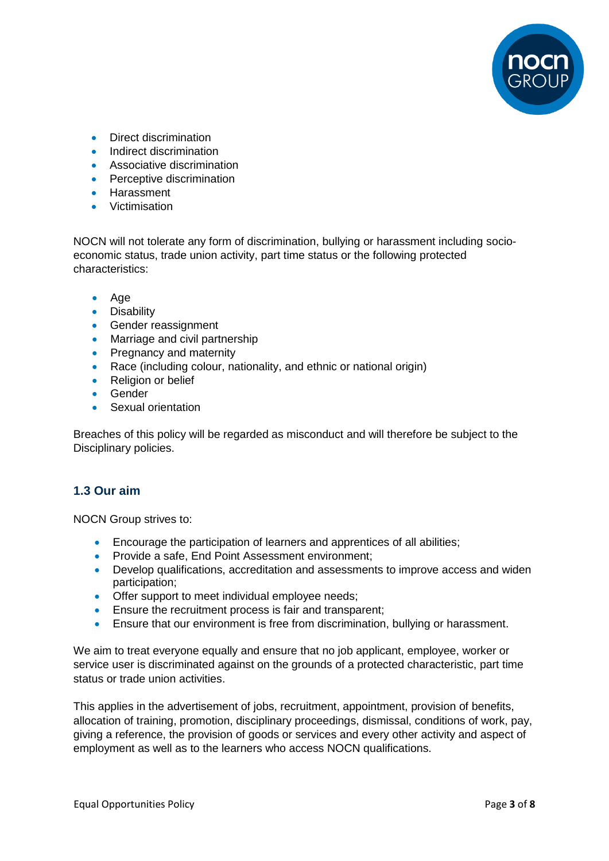

- Direct discrimination
- Indirect discrimination
- **Associative discrimination**
- Perceptive discrimination
- **•** Harassment
- Victimisation

NOCN will not tolerate any form of discrimination, bullying or harassment including socioeconomic status, trade union activity, part time status or the following protected characteristics:

- Age
- **•** Disability
- **Gender reassignment**
- Marriage and civil partnership
- Pregnancy and maternity
- Race (including colour, nationality, and ethnic or national origin)
- Religion or belief
- **•** Gender
- Sexual orientation

Breaches of this policy will be regarded as misconduct and will therefore be subject to the Disciplinary policies.

#### **1.3 Our aim**

NOCN Group strives to:

- Encourage the participation of learners and apprentices of all abilities;
- **Provide a safe, End Point Assessment environment:**
- Develop qualifications, accreditation and assessments to improve access and widen participation;
- Offer support to meet individual employee needs;
- **Ensure the recruitment process is fair and transparent;**
- Ensure that our environment is free from discrimination, bullying or harassment.

We aim to treat everyone equally and ensure that no job applicant, employee, worker or service user is discriminated against on the grounds of a protected characteristic, part time status or trade union activities.

This applies in the advertisement of jobs, recruitment, appointment, provision of benefits, allocation of training, promotion, disciplinary proceedings, dismissal, conditions of work, pay, giving a reference, the provision of goods or services and every other activity and aspect of employment as well as to the learners who access NOCN qualifications.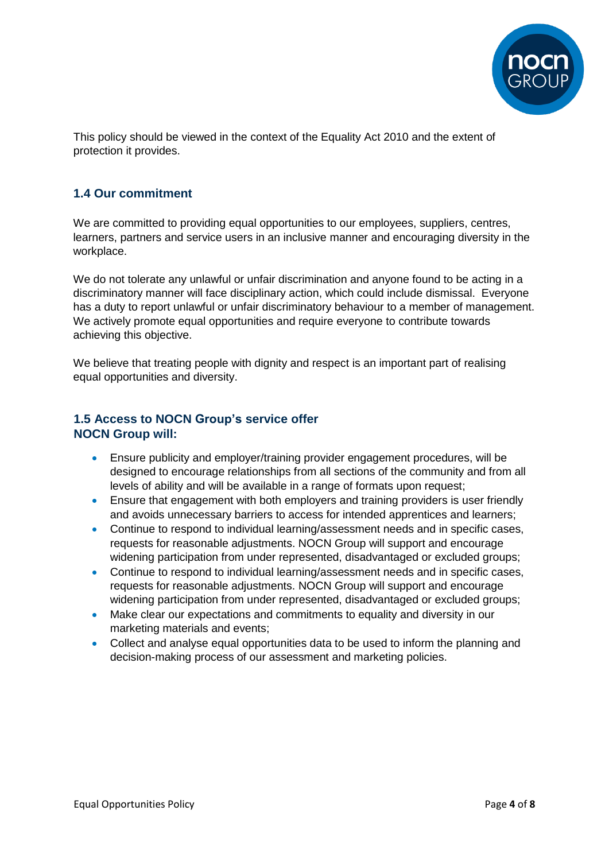

This policy should be viewed in the context of the Equality Act 2010 and the extent of protection it provides.

#### **1.4 Our commitment**

We are committed to providing equal opportunities to our employees, suppliers, centres, learners, partners and service users in an inclusive manner and encouraging diversity in the workplace.

We do not tolerate any unlawful or unfair discrimination and anyone found to be acting in a discriminatory manner will face disciplinary action, which could include dismissal. Everyone has a duty to report unlawful or unfair discriminatory behaviour to a member of management. We actively promote equal opportunities and require everyone to contribute towards achieving this objective.

We believe that treating people with dignity and respect is an important part of realising equal opportunities and diversity.

#### **1.5 Access to NOCN Group's service offer NOCN Group will:**

- Ensure publicity and employer/training provider engagement procedures, will be designed to encourage relationships from all sections of the community and from all levels of ability and will be available in a range of formats upon request;
- Ensure that engagement with both employers and training providers is user friendly and avoids unnecessary barriers to access for intended apprentices and learners;
- Continue to respond to individual learning/assessment needs and in specific cases, requests for reasonable adjustments. NOCN Group will support and encourage widening participation from under represented, disadvantaged or excluded groups;
- Continue to respond to individual learning/assessment needs and in specific cases, requests for reasonable adjustments. NOCN Group will support and encourage widening participation from under represented, disadvantaged or excluded groups;
- Make clear our expectations and commitments to equality and diversity in our marketing materials and events;
- Collect and analyse equal opportunities data to be used to inform the planning and decision-making process of our assessment and marketing policies.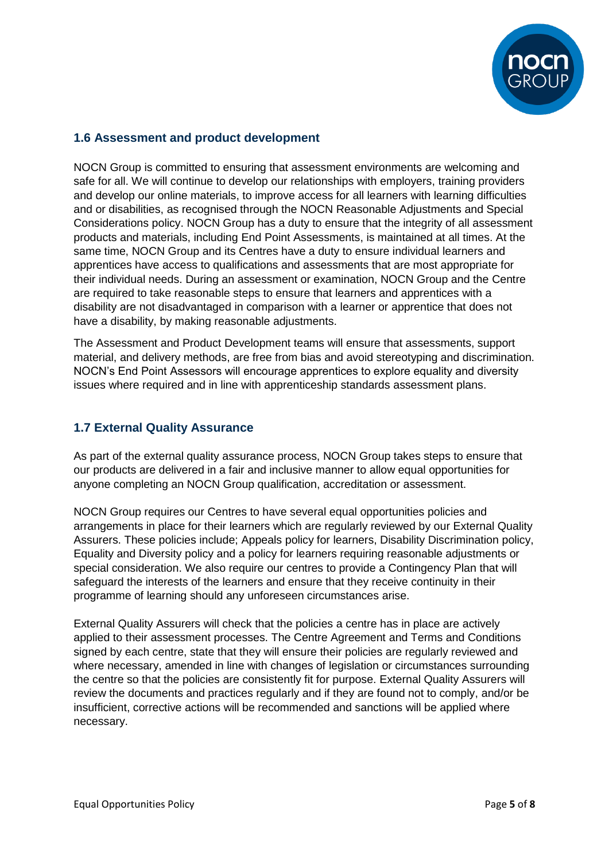

#### **1.6 Assessment and product development**

NOCN Group is committed to ensuring that assessment environments are welcoming and safe for all. We will continue to develop our relationships with employers, training providers and develop our online materials, to improve access for all learners with learning difficulties and or disabilities, as recognised through the NOCN Reasonable Adjustments and Special Considerations policy. NOCN Group has a duty to ensure that the integrity of all assessment products and materials, including End Point Assessments, is maintained at all times. At the same time, NOCN Group and its Centres have a duty to ensure individual learners and apprentices have access to qualifications and assessments that are most appropriate for their individual needs. During an assessment or examination, NOCN Group and the Centre are required to take reasonable steps to ensure that learners and apprentices with a disability are not disadvantaged in comparison with a learner or apprentice that does not have a disability, by making reasonable adjustments.

The Assessment and Product Development teams will ensure that assessments, support material, and delivery methods, are free from bias and avoid stereotyping and discrimination. NOCN's End Point Assessors will encourage apprentices to explore equality and diversity issues where required and in line with apprenticeship standards assessment plans.

#### **1.7 External Quality Assurance**

As part of the external quality assurance process, NOCN Group takes steps to ensure that our products are delivered in a fair and inclusive manner to allow equal opportunities for anyone completing an NOCN Group qualification, accreditation or assessment.

NOCN Group requires our Centres to have several equal opportunities policies and arrangements in place for their learners which are regularly reviewed by our External Quality Assurers. These policies include; Appeals policy for learners, Disability Discrimination policy, Equality and Diversity policy and a policy for learners requiring reasonable adjustments or special consideration. We also require our centres to provide a Contingency Plan that will safeguard the interests of the learners and ensure that they receive continuity in their programme of learning should any unforeseen circumstances arise.

External Quality Assurers will check that the policies a centre has in place are actively applied to their assessment processes. The Centre Agreement and Terms and Conditions signed by each centre, state that they will ensure their policies are regularly reviewed and where necessary, amended in line with changes of legislation or circumstances surrounding the centre so that the policies are consistently fit for purpose. External Quality Assurers will review the documents and practices regularly and if they are found not to comply, and/or be insufficient, corrective actions will be recommended and sanctions will be applied where necessary.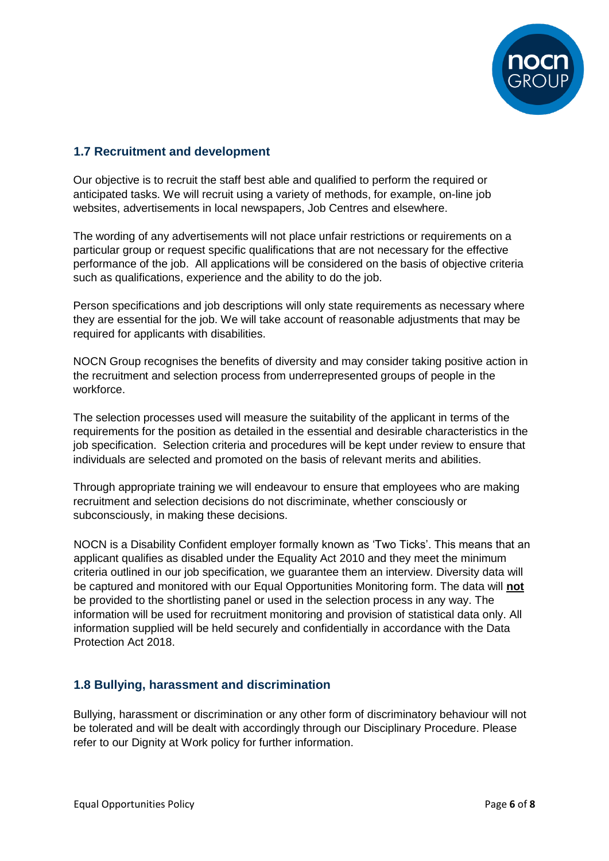

#### **1.7 Recruitment and development**

Our objective is to recruit the staff best able and qualified to perform the required or anticipated tasks. We will recruit using a variety of methods, for example, on-line job websites, advertisements in local newspapers, Job Centres and elsewhere.

The wording of any advertisements will not place unfair restrictions or requirements on a particular group or request specific qualifications that are not necessary for the effective performance of the job. All applications will be considered on the basis of objective criteria such as qualifications, experience and the ability to do the job.

Person specifications and job descriptions will only state requirements as necessary where they are essential for the job. We will take account of reasonable adjustments that may be required for applicants with disabilities.

NOCN Group recognises the benefits of diversity and may consider taking positive action in the recruitment and selection process from underrepresented groups of people in the workforce.

The selection processes used will measure the suitability of the applicant in terms of the requirements for the position as detailed in the essential and desirable characteristics in the job specification. Selection criteria and procedures will be kept under review to ensure that individuals are selected and promoted on the basis of relevant merits and abilities.

Through appropriate training we will endeavour to ensure that employees who are making recruitment and selection decisions do not discriminate, whether consciously or subconsciously, in making these decisions.

NOCN is a Disability Confident employer formally known as 'Two Ticks'. This means that an applicant qualifies as disabled under the Equality Act 2010 and they meet the minimum criteria outlined in our job specification, we guarantee them an interview. Diversity data will be captured and monitored with our Equal Opportunities Monitoring form. The data will **not** be provided to the shortlisting panel or used in the selection process in any way. The information will be used for recruitment monitoring and provision of statistical data only. All information supplied will be held securely and confidentially in accordance with the Data Protection Act 2018.

#### **1.8 Bullying, harassment and discrimination**

Bullying, harassment or discrimination or any other form of discriminatory behaviour will not be tolerated and will be dealt with accordingly through our Disciplinary Procedure. Please refer to our Dignity at Work policy for further information.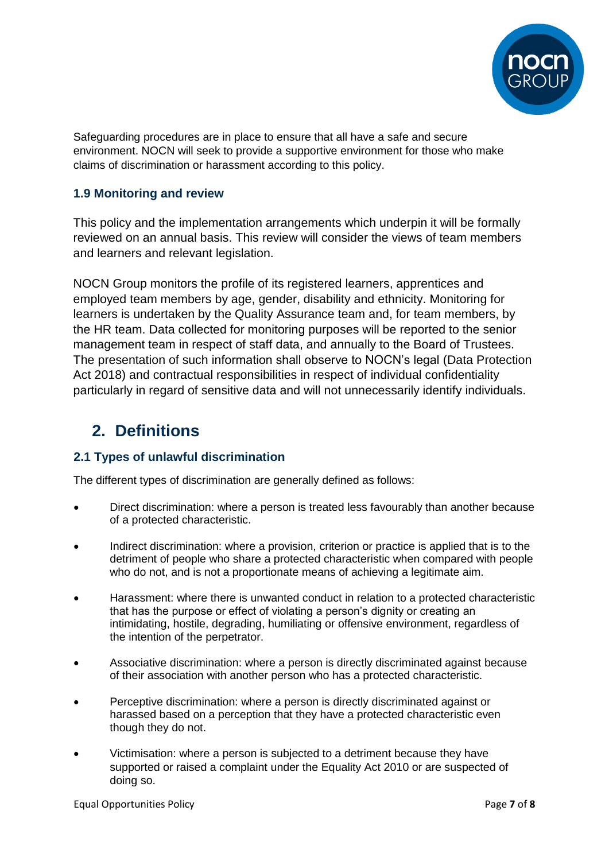

Safeguarding procedures are in place to ensure that all have a safe and secure environment. NOCN will seek to provide a supportive environment for those who make claims of discrimination or harassment according to this policy.

#### **1.9 Monitoring and review**

This policy and the implementation arrangements which underpin it will be formally reviewed on an annual basis. This review will consider the views of team members and learners and relevant legislation.

NOCN Group monitors the profile of its registered learners, apprentices and employed team members by age, gender, disability and ethnicity. Monitoring for learners is undertaken by the Quality Assurance team and, for team members, by the HR team. Data collected for monitoring purposes will be reported to the senior management team in respect of staff data, and annually to the Board of Trustees. The presentation of such information shall observe to NOCN's legal (Data Protection Act 2018) and contractual responsibilities in respect of individual confidentiality particularly in regard of sensitive data and will not unnecessarily identify individuals.

### **2. Definitions**

#### **2.1 Types of unlawful discrimination**

The different types of discrimination are generally defined as follows:

- Direct discrimination: where a person is treated less favourably than another because of a protected characteristic.
- Indirect discrimination: where a provision, criterion or practice is applied that is to the detriment of people who share a protected characteristic when compared with people who do not, and is not a proportionate means of achieving a legitimate aim.
- Harassment: where there is unwanted conduct in relation to a protected characteristic that has the purpose or effect of violating a person's dignity or creating an intimidating, hostile, degrading, humiliating or offensive environment, regardless of the intention of the perpetrator.
- Associative discrimination: where a person is directly discriminated against because of their association with another person who has a protected characteristic.
- Perceptive discrimination: where a person is directly discriminated against or harassed based on a perception that they have a protected characteristic even though they do not.
- Victimisation: where a person is subjected to a detriment because they have supported or raised a complaint under the Equality Act 2010 or are suspected of doing so.